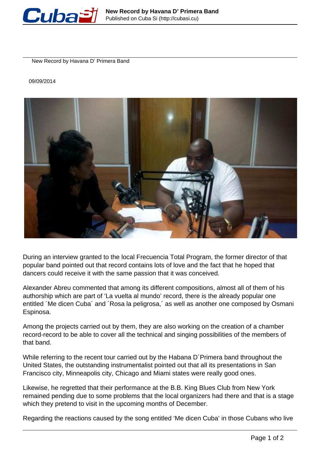

New Record by Havana D' Primera Band

09/09/2014



During an interview granted to the local Frecuencia Total Program, the former director of that popular band pointed out that record contains lots of love and the fact that he hoped that dancers could receive it with the same passion that it was conceived.

Alexander Abreu commented that among its different compositions, almost all of them of his authorship which are part of 'La vuelta al mundo' record, there is the already popular one entitled ´Me dicen Cuba´ and ´Rosa la peligrosa,´ as well as another one composed by Osmani Espinosa.

Among the projects carried out by them, they are also working on the creation of a chamber record-record to be able to cover all the technical and singing possibilities of the members of that band.

While referring to the recent tour carried out by the Habana D´Primera band throughout the United States, the outstanding instrumentalist pointed out that all its presentations in San Francisco city, Minneapolis city, Chicago and Miami states were really good ones.

Likewise, he regretted that their performance at the B.B. King Blues Club from New York remained pending due to some problems that the local organizers had there and that is a stage which they pretend to visit in the upcoming months of December.

Regarding the reactions caused by the song entitled 'Me dicen Cuba' in those Cubans who live